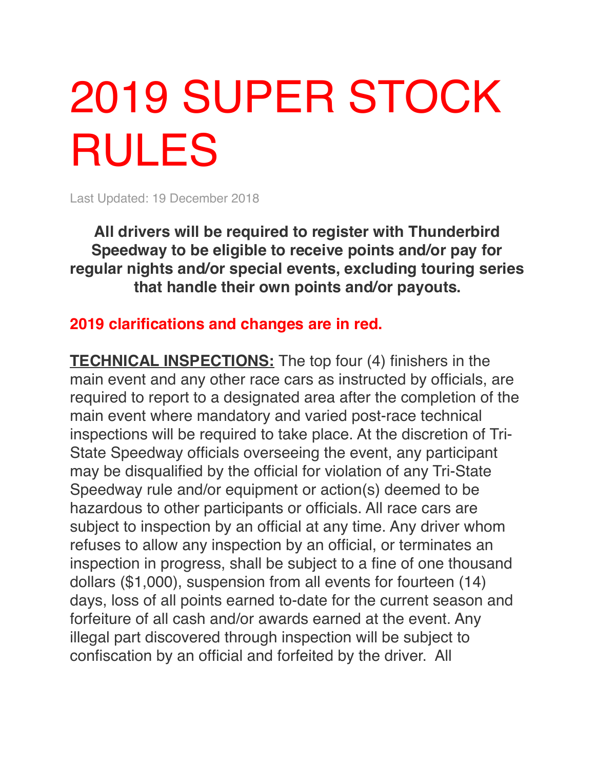## 2019 SUPER STOCK RULES

Last Updated: 19 December 2018

**All drivers will be required to register with Thunderbird Speedway to be eligible to receive points and/or pay for regular nights and/or special events, excluding touring series that handle their own points and/or payouts.**

## **2019 clarifications and changes are in red.**

**TECHNICAL INSPECTIONS:** The top four (4) finishers in the main event and any other race cars as instructed by officials, are required to report to a designated area after the completion of the main event where mandatory and varied post-race technical inspections will be required to take place. At the discretion of Tri-State Speedway officials overseeing the event, any participant may be disqualified by the official for violation of any Tri-State Speedway rule and/or equipment or action(s) deemed to be hazardous to other participants or officials. All race cars are subject to inspection by an official at any time. Any driver whom refuses to allow any inspection by an official, or terminates an inspection in progress, shall be subject to a fine of one thousand dollars (\$1,000), suspension from all events for fourteen (14) days, loss of all points earned to-date for the current season and forfeiture of all cash and/or awards earned at the event. Any illegal part discovered through inspection will be subject to confiscation by an official and forfeited by the driver. All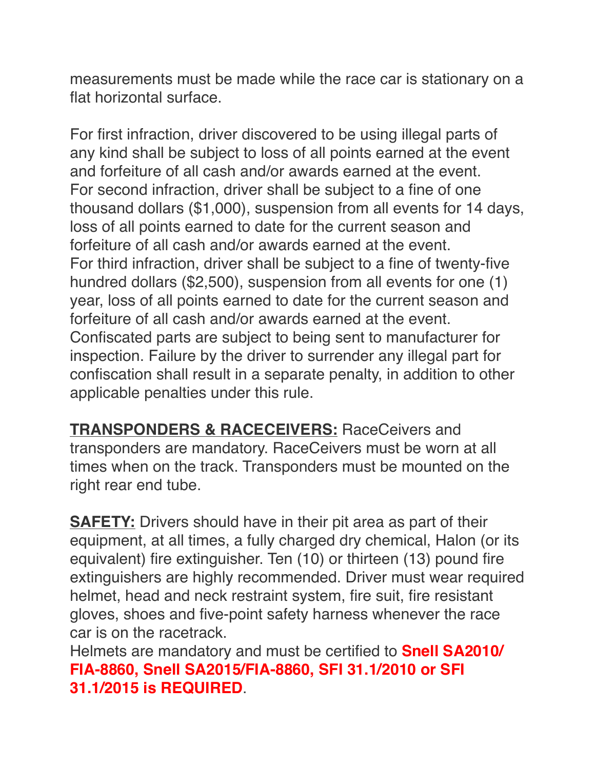measurements must be made while the race car is stationary on a flat horizontal surface.

For first infraction, driver discovered to be using illegal parts of any kind shall be subject to loss of all points earned at the event and forfeiture of all cash and/or awards earned at the event. For second infraction, driver shall be subject to a fine of one thousand dollars (\$1,000), suspension from all events for 14 days, loss of all points earned to date for the current season and forfeiture of all cash and/or awards earned at the event. For third infraction, driver shall be subject to a fine of twenty-five hundred dollars (\$2,500), suspension from all events for one (1) year, loss of all points earned to date for the current season and forfeiture of all cash and/or awards earned at the event. Confiscated parts are subject to being sent to manufacturer for inspection. Failure by the driver to surrender any illegal part for confiscation shall result in a separate penalty, in addition to other applicable penalties under this rule.

**TRANSPONDERS & RACECEIVERS:** RaceCeivers and transponders are mandatory. RaceCeivers must be worn at all times when on the track. Transponders must be mounted on the right rear end tube.

**SAFETY:** Drivers should have in their pit area as part of their equipment, at all times, a fully charged dry chemical, Halon (or its equivalent) fire extinguisher. Ten (10) or thirteen (13) pound fire extinguishers are highly recommended. Driver must wear required helmet, head and neck restraint system, fire suit, fire resistant gloves, shoes and five-point safety harness whenever the race car is on the racetrack.

Helmets are mandatory and must be certified to **Snell SA2010/ FIA-8860, Snell SA2015/FIA-8860, SFI 31.1/2010 or SFI 31.1/2015 is REQUIRED**.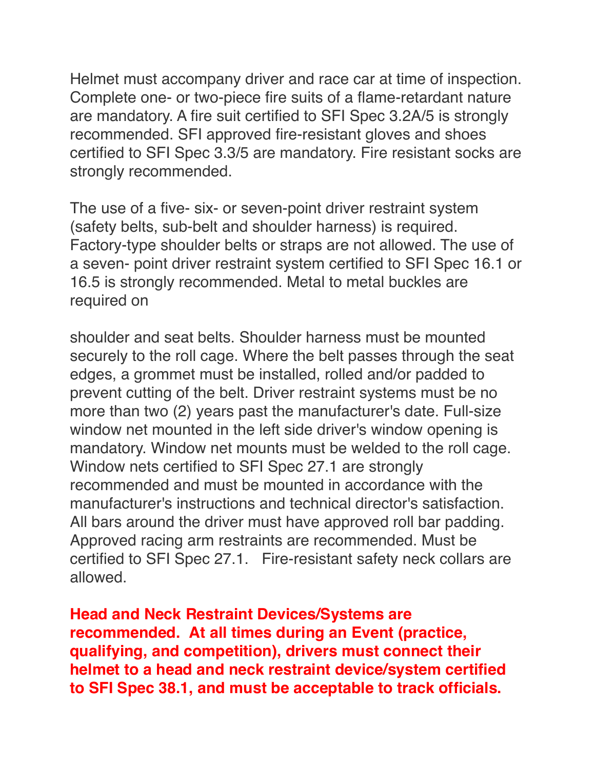Helmet must accompany driver and race car at time of inspection. Complete one- or two-piece fire suits of a flame-retardant nature are mandatory. A fire suit certified to SFI Spec 3.2A/5 is strongly recommended. SFI approved fire-resistant gloves and shoes certified to SFI Spec 3.3/5 are mandatory. Fire resistant socks are strongly recommended.

The use of a five- six- or seven-point driver restraint system (safety belts, sub-belt and shoulder harness) is required. Factory-type shoulder belts or straps are not allowed. The use of a seven- point driver restraint system certified to SFI Spec 16.1 or 16.5 is strongly recommended. Metal to metal buckles are required on

shoulder and seat belts. Shoulder harness must be mounted securely to the roll cage. Where the belt passes through the seat edges, a grommet must be installed, rolled and/or padded to prevent cutting of the belt. Driver restraint systems must be no more than two (2) years past the manufacturer's date. Full-size window net mounted in the left side driver's window opening is mandatory. Window net mounts must be welded to the roll cage. Window nets certified to SFI Spec 27.1 are strongly recommended and must be mounted in accordance with the manufacturer's instructions and technical director's satisfaction. All bars around the driver must have approved roll bar padding. Approved racing arm restraints are recommended. Must be certified to SFI Spec 27.1. Fire-resistant safety neck collars are allowed.

**Head and Neck Restraint Devices/Systems are recommended. At all times during an Event (practice, qualifying, and competition), drivers must connect their helmet to a head and neck restraint device/system certified to SFI Spec 38.1, and must be acceptable to track officials.**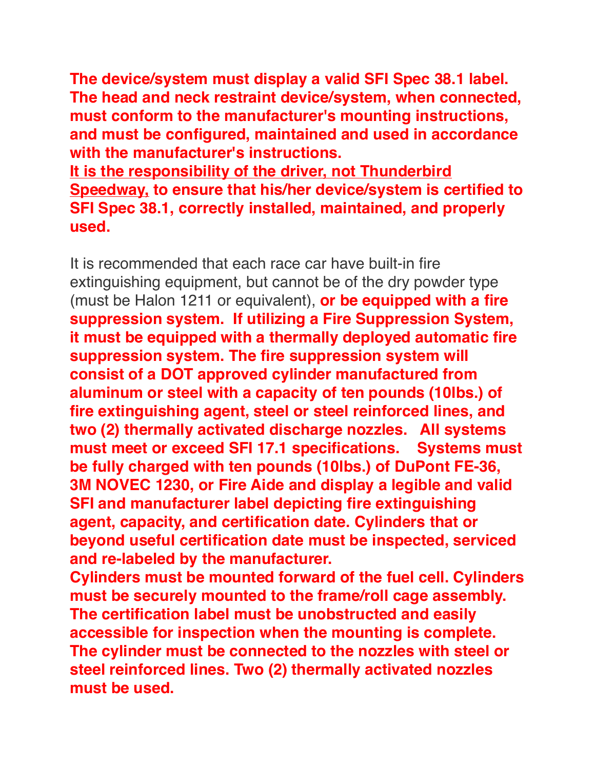**The device/system must display a valid SFI Spec 38.1 label. The head and neck restraint device/system, when connected, must conform to the manufacturer's mounting instructions, and must be configured, maintained and used in accordance with the manufacturer's instructions.**

**It is the responsibility of the driver, not Thunderbird Speedway, to ensure that his/her device/system is certified to SFI Spec 38.1, correctly installed, maintained, and properly used.**

It is recommended that each race car have built-in fire extinguishing equipment, but cannot be of the dry powder type (must be Halon 1211 or equivalent), **or be equipped with a fire suppression system. If utilizing a Fire Suppression System, it must be equipped with a thermally deployed automatic fire suppression system. The fire suppression system will consist of a DOT approved cylinder manufactured from aluminum or steel with a capacity of ten pounds (10lbs.) of fire extinguishing agent, steel or steel reinforced lines, and two (2) thermally activated discharge nozzles. All systems must meet or exceed SFI 17.1 specifications. Systems must be fully charged with ten pounds (10lbs.) of DuPont FE-36, 3M NOVEC 1230, or Fire Aide and display a legible and valid SFI and manufacturer label depicting fire extinguishing agent, capacity, and certification date. Cylinders that or beyond useful certification date must be inspected, serviced and re-labeled by the manufacturer.**

**Cylinders must be mounted forward of the fuel cell. Cylinders must be securely mounted to the frame/roll cage assembly. The certification label must be unobstructed and easily accessible for inspection when the mounting is complete. The cylinder must be connected to the nozzles with steel or steel reinforced lines. Two (2) thermally activated nozzles must be used.**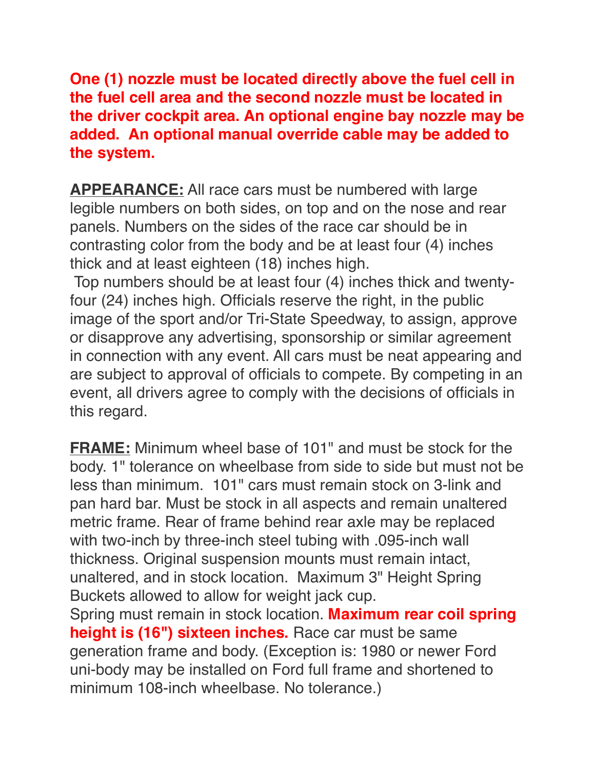**One (1) nozzle must be located directly above the fuel cell in the fuel cell area and the second nozzle must be located in the driver cockpit area. An optional engine bay nozzle may be added. An optional manual override cable may be added to the system.**

**APPEARANCE:** All race cars must be numbered with large legible numbers on both sides, on top and on the nose and rear panels. Numbers on the sides of the race car should be in contrasting color from the body and be at least four (4) inches thick and at least eighteen (18) inches high.

 Top numbers should be at least four (4) inches thick and twentyfour (24) inches high. Officials reserve the right, in the public image of the sport and/or Tri-State Speedway, to assign, approve or disapprove any advertising, sponsorship or similar agreement in connection with any event. All cars must be neat appearing and are subject to approval of officials to compete. By competing in an event, all drivers agree to comply with the decisions of officials in this regard.

**FRAME:** Minimum wheel base of 101" and must be stock for the body. 1" tolerance on wheelbase from side to side but must not be less than minimum. 101" cars must remain stock on 3-link and pan hard bar. Must be stock in all aspects and remain unaltered metric frame. Rear of frame behind rear axle may be replaced with two-inch by three-inch steel tubing with .095-inch wall thickness. Original suspension mounts must remain intact, unaltered, and in stock location. Maximum 3" Height Spring Buckets allowed to allow for weight jack cup.

Spring must remain in stock location. **Maximum rear coil spring height is (16") sixteen inches.** Race car must be same generation frame and body. (Exception is: 1980 or newer Ford uni-body may be installed on Ford full frame and shortened to minimum 108-inch wheelbase. No tolerance.)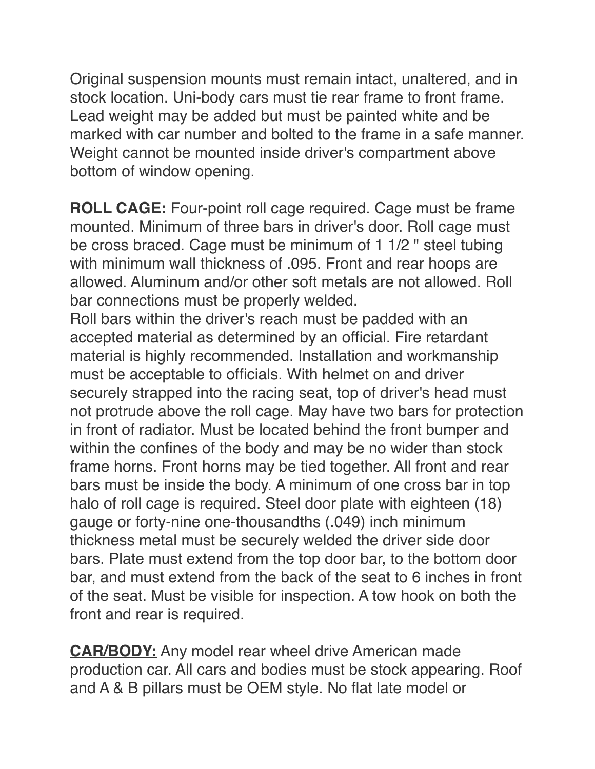Original suspension mounts must remain intact, unaltered, and in stock location. Uni-body cars must tie rear frame to front frame. Lead weight may be added but must be painted white and be marked with car number and bolted to the frame in a safe manner. Weight cannot be mounted inside driver's compartment above bottom of window opening.

**ROLL CAGE:** Four-point roll cage required. Cage must be frame mounted. Minimum of three bars in driver's door. Roll cage must be cross braced. Cage must be minimum of 1 1/2 " steel tubing with minimum wall thickness of .095. Front and rear hoops are allowed. Aluminum and/or other soft metals are not allowed. Roll bar connections must be properly welded. Roll bars within the driver's reach must be padded with an accepted material as determined by an official. Fire retardant material is highly recommended. Installation and workmanship must be acceptable to officials. With helmet on and driver securely strapped into the racing seat, top of driver's head must not protrude above the roll cage. May have two bars for protection in front of radiator. Must be located behind the front bumper and within the confines of the body and may be no wider than stock frame horns. Front horns may be tied together. All front and rear bars must be inside the body. A minimum of one cross bar in top halo of roll cage is required. Steel door plate with eighteen (18) gauge or forty-nine one-thousandths (.049) inch minimum thickness metal must be securely welded the driver side door bars. Plate must extend from the top door bar, to the bottom door bar, and must extend from the back of the seat to 6 inches in front of the seat. Must be visible for inspection. A tow hook on both the front and rear is required.

**CAR/BODY:** Any model rear wheel drive American made production car. All cars and bodies must be stock appearing. Roof and A & B pillars must be OEM style. No flat late model or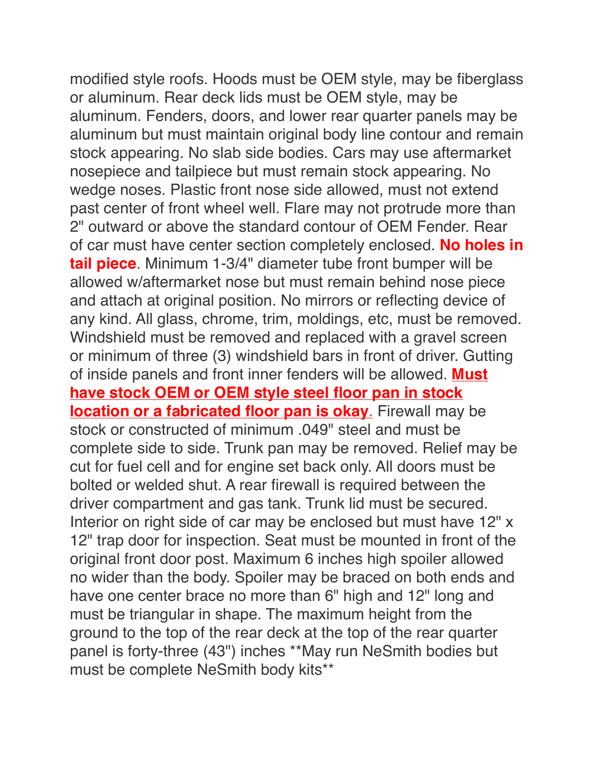modified style roofs. Hoods must be OEM style, may be fiberglass or aluminum. Rear deck lids must be OEM style, may be aluminum. Fenders, doors, and lower rear quarter panels may be aluminum but must maintain original body line contour and remain stock appearing. No slab side bodies. Cars may use aftermarket nosepiece and tailpiece but must remain stock appearing. No wedge noses. Plastic front nose side allowed, must not extend past center of front wheel well. Flare may not protrude more than 2" outward or above the standard contour of OEM Fender. Rear of car must have center section completely enclosed. **No holes in tail piece**. Minimum 1-3/4" diameter tube front bumper will be allowed w/aftermarket nose but must remain behind nose piece and attach at original position. No mirrors or reflecting device of any kind. All glass, chrome, trim, moldings, etc, must be removed. Windshield must be removed and replaced with a gravel screen or minimum of three (3) windshield bars in front of driver. Gutting of inside panels and front inner fenders will be allowed. **Must have stock OEM or OEM style steel floor pan in stock location or a fabricated floor pan is okay**. Firewall may be stock or constructed of minimum .049" steel and must be complete side to side. Trunk pan may be removed. Relief may be cut for fuel cell and for engine set back only. All doors must be bolted or welded shut. A rear firewall is required between the driver compartment and gas tank. Trunk lid must be secured. Interior on right side of car may be enclosed but must have 12" x 12" trap door for inspection. Seat must be mounted in front of the original front door post. Maximum 6 inches high spoiler allowed no wider than the body. Spoiler may be braced on both ends and have one center brace no more than 6" high and 12" long and must be triangular in shape. The maximum height from the ground to the top of the rear deck at the top of the rear quarter panel is forty-three (43") inches \*\*May run NeSmith bodies but must be complete NeSmith body kits\*\*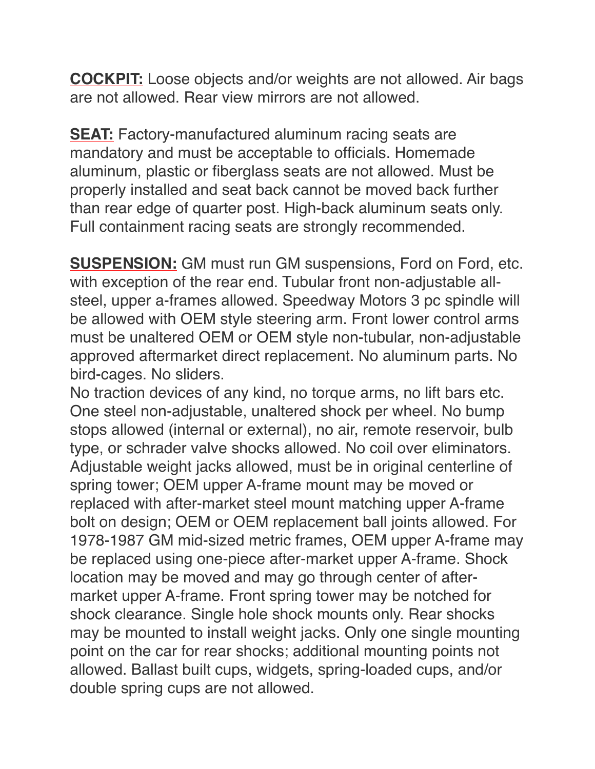**COCKPIT:** Loose objects and/or weights are not allowed. Air bags are not allowed. Rear view mirrors are not allowed.

**SEAT:** Factory-manufactured aluminum racing seats are mandatory and must be acceptable to officials. Homemade aluminum, plastic or fiberglass seats are not allowed. Must be properly installed and seat back cannot be moved back further than rear edge of quarter post. High-back aluminum seats only. Full containment racing seats are strongly recommended.

**SUSPENSION:** GM must run GM suspensions, Ford on Ford, etc. with exception of the rear end. Tubular front non-adjustable allsteel, upper a-frames allowed. Speedway Motors 3 pc spindle will be allowed with OEM style steering arm. Front lower control arms must be unaltered OEM or OEM style non-tubular, non-adjustable approved aftermarket direct replacement. No aluminum parts. No bird-cages. No sliders.

No traction devices of any kind, no torque arms, no lift bars etc. One steel non-adjustable, unaltered shock per wheel. No bump stops allowed (internal or external), no air, remote reservoir, bulb type, or schrader valve shocks allowed. No coil over eliminators. Adjustable weight jacks allowed, must be in original centerline of spring tower; OEM upper A-frame mount may be moved or replaced with after-market steel mount matching upper A-frame bolt on design; OEM or OEM replacement ball joints allowed. For 1978-1987 GM mid-sized metric frames, OEM upper A-frame may be replaced using one-piece after-market upper A-frame. Shock location may be moved and may go through center of aftermarket upper A-frame. Front spring tower may be notched for shock clearance. Single hole shock mounts only. Rear shocks may be mounted to install weight jacks. Only one single mounting point on the car for rear shocks; additional mounting points not allowed. Ballast built cups, widgets, spring-loaded cups, and/or double spring cups are not allowed.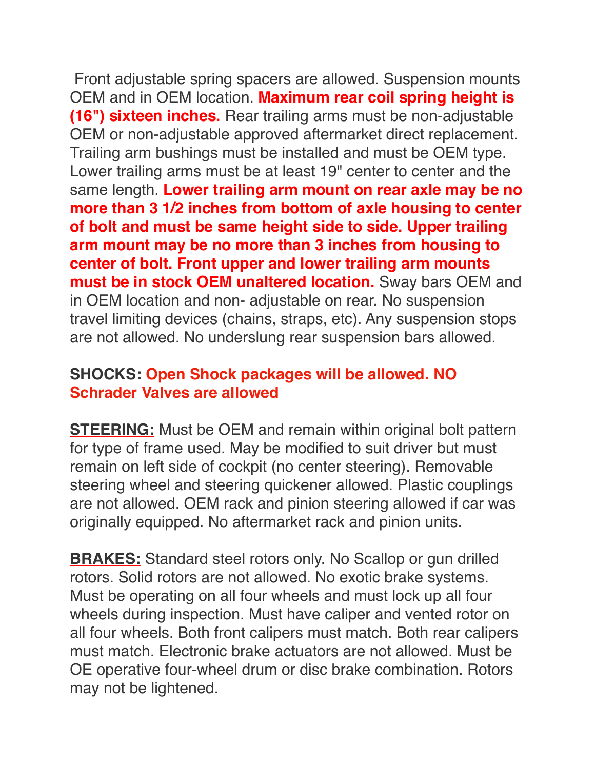Front adjustable spring spacers are allowed. Suspension mounts OEM and in OEM location. **Maximum rear coil spring height is (16") sixteen inches.** Rear trailing arms must be non-adjustable OEM or non-adjustable approved aftermarket direct replacement. Trailing arm bushings must be installed and must be OEM type. Lower trailing arms must be at least 19" center to center and the same length. **Lower trailing arm mount on rear axle may be no more than 3 1/2 inches from bottom of axle housing to center of bolt and must be same height side to side. Upper trailing arm mount may be no more than 3 inches from housing to center of bolt. Front upper and lower trailing arm mounts must be in stock OEM unaltered location.** Sway bars OEM and in OEM location and non- adjustable on rear. No suspension travel limiting devices (chains, straps, etc). Any suspension stops are not allowed. No underslung rear suspension bars allowed.

## **SHOCKS: Open Shock packages will be allowed. NO Schrader Valves are allowed**

**STEERING:** Must be OEM and remain within original bolt pattern for type of frame used. May be modified to suit driver but must remain on left side of cockpit (no center steering). Removable steering wheel and steering quickener allowed. Plastic couplings are not allowed. OEM rack and pinion steering allowed if car was originally equipped. No aftermarket rack and pinion units.

**BRAKES:** Standard steel rotors only. No Scallop or gun drilled rotors. Solid rotors are not allowed. No exotic brake systems. Must be operating on all four wheels and must lock up all four wheels during inspection. Must have caliper and vented rotor on all four wheels. Both front calipers must match. Both rear calipers must match. Electronic brake actuators are not allowed. Must be OE operative four-wheel drum or disc brake combination. Rotors may not be lightened.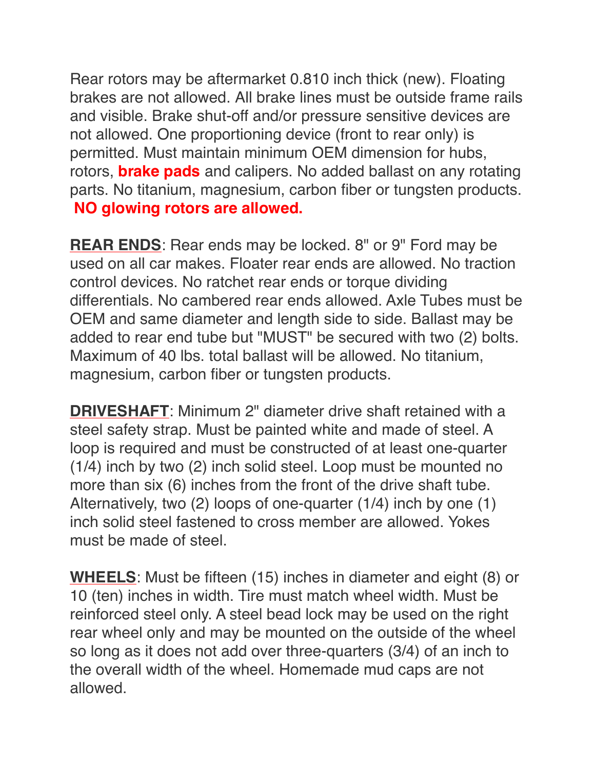Rear rotors may be aftermarket 0.810 inch thick (new). Floating brakes are not allowed. All brake lines must be outside frame rails and visible. Brake shut-off and/or pressure sensitive devices are not allowed. One proportioning device (front to rear only) is permitted. Must maintain minimum OEM dimension for hubs, rotors, **brake pads** and calipers. No added ballast on any rotating parts. No titanium, magnesium, carbon fiber or tungsten products. **NO glowing rotors are allowed.**

**REAR ENDS**: Rear ends may be locked. 8" or 9" Ford may be used on all car makes. Floater rear ends are allowed. No traction control devices. No ratchet rear ends or torque dividing differentials. No cambered rear ends allowed. Axle Tubes must be OEM and same diameter and length side to side. Ballast may be added to rear end tube but "MUST" be secured with two (2) bolts. Maximum of 40 lbs. total ballast will be allowed. No titanium, magnesium, carbon fiber or tungsten products.

**DRIVESHAFT**: Minimum 2" diameter drive shaft retained with a steel safety strap. Must be painted white and made of steel. A loop is required and must be constructed of at least one-quarter (1/4) inch by two (2) inch solid steel. Loop must be mounted no more than six (6) inches from the front of the drive shaft tube. Alternatively, two (2) loops of one-quarter (1/4) inch by one (1) inch solid steel fastened to cross member are allowed. Yokes must be made of steel.

**WHEELS**: Must be fifteen (15) inches in diameter and eight (8) or 10 (ten) inches in width. Tire must match wheel width. Must be reinforced steel only. A steel bead lock may be used on the right rear wheel only and may be mounted on the outside of the wheel so long as it does not add over three-quarters (3/4) of an inch to the overall width of the wheel. Homemade mud caps are not allowed.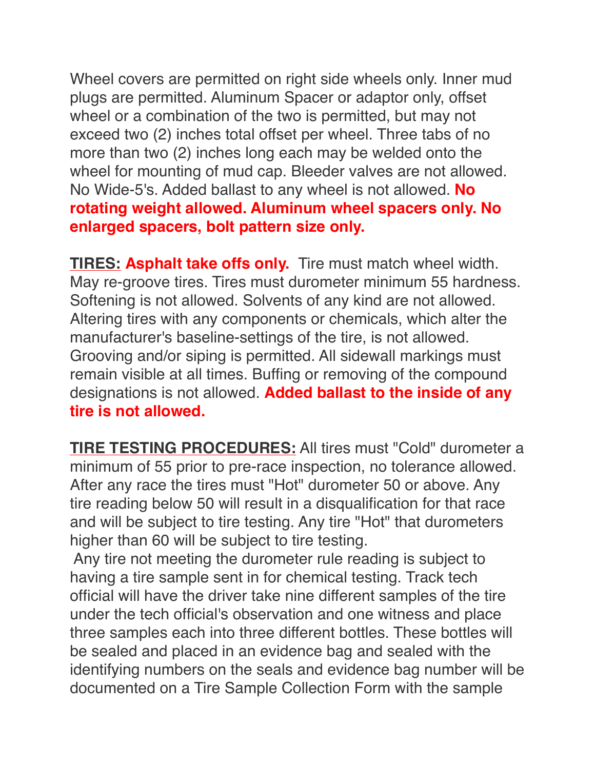Wheel covers are permitted on right side wheels only. Inner mud plugs are permitted. Aluminum Spacer or adaptor only, offset wheel or a combination of the two is permitted, but may not exceed two (2) inches total offset per wheel. Three tabs of no more than two (2) inches long each may be welded onto the wheel for mounting of mud cap. Bleeder valves are not allowed. No Wide-5's. Added ballast to any wheel is not allowed. **No rotating weight allowed. Aluminum wheel spacers only. No enlarged spacers, bolt pattern size only.**

**TIRES: Asphalt take offs only.** Tire must match wheel width. May re-groove tires. Tires must durometer minimum 55 hardness. Softening is not allowed. Solvents of any kind are not allowed. Altering tires with any components or chemicals, which alter the manufacturer's baseline-settings of the tire, is not allowed. Grooving and/or siping is permitted. All sidewall markings must remain visible at all times. Buffing or removing of the compound designations is not allowed. **Added ballast to the inside of any tire is not allowed.**

**TIRE TESTING PROCEDURES:** All tires must "Cold" durometer a minimum of 55 prior to pre-race inspection, no tolerance allowed. After any race the tires must "Hot" durometer 50 or above. Any tire reading below 50 will result in a disqualification for that race and will be subject to tire testing. Any tire "Hot" that durometers higher than 60 will be subject to tire testing.

 Any tire not meeting the durometer rule reading is subject to having a tire sample sent in for chemical testing. Track tech official will have the driver take nine different samples of the tire under the tech official's observation and one witness and place three samples each into three different bottles. These bottles will be sealed and placed in an evidence bag and sealed with the identifying numbers on the seals and evidence bag number will be documented on a Tire Sample Collection Form with the sample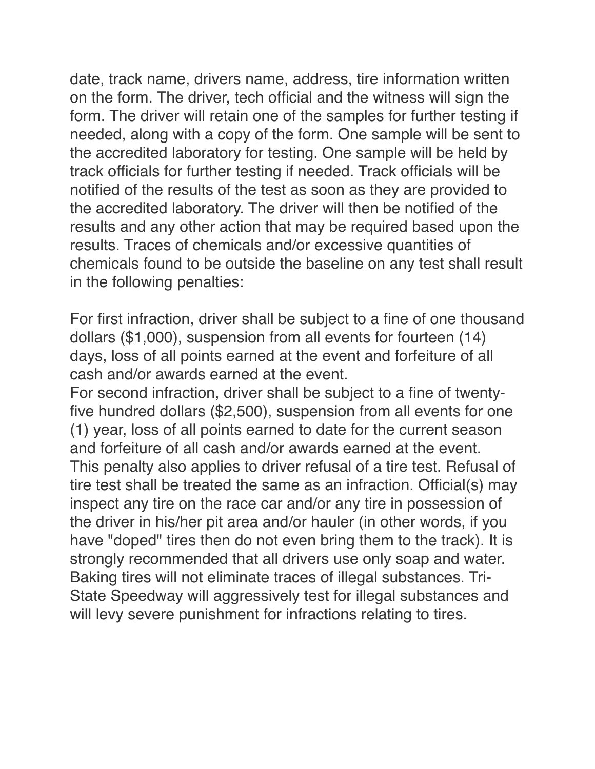date, track name, drivers name, address, tire information written on the form. The driver, tech official and the witness will sign the form. The driver will retain one of the samples for further testing if needed, along with a copy of the form. One sample will be sent to the accredited laboratory for testing. One sample will be held by track officials for further testing if needed. Track officials will be notified of the results of the test as soon as they are provided to the accredited laboratory. The driver will then be notified of the results and any other action that may be required based upon the results. Traces of chemicals and/or excessive quantities of chemicals found to be outside the baseline on any test shall result in the following penalties:

For first infraction, driver shall be subject to a fine of one thousand dollars (\$1,000), suspension from all events for fourteen (14) days, loss of all points earned at the event and forfeiture of all cash and/or awards earned at the event.

For second infraction, driver shall be subject to a fine of twentyfive hundred dollars (\$2,500), suspension from all events for one (1) year, loss of all points earned to date for the current season and forfeiture of all cash and/or awards earned at the event. This penalty also applies to driver refusal of a tire test. Refusal of tire test shall be treated the same as an infraction. Official(s) may inspect any tire on the race car and/or any tire in possession of the driver in his/her pit area and/or hauler (in other words, if you have "doped" tires then do not even bring them to the track). It is strongly recommended that all drivers use only soap and water. Baking tires will not eliminate traces of illegal substances. Tri-State Speedway will aggressively test for illegal substances and will levy severe punishment for infractions relating to tires.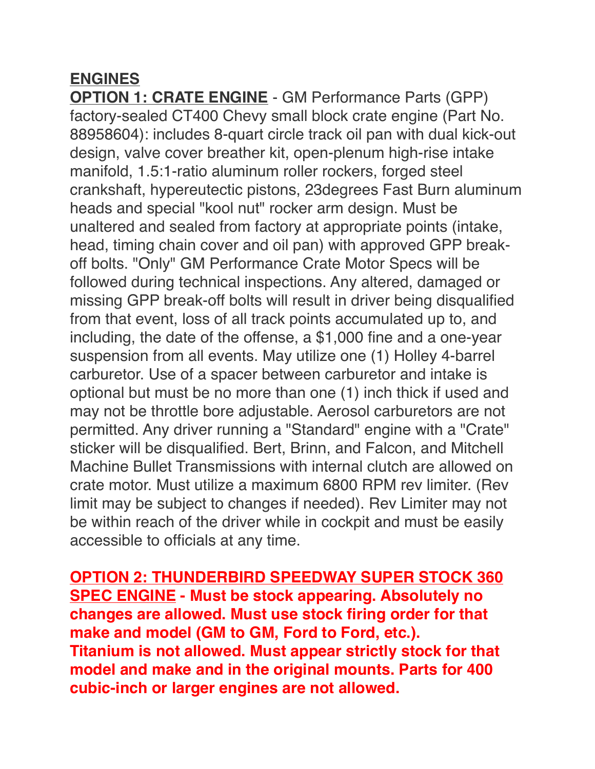## **ENGINES**

**OPTION 1: CRATE ENGINE** - GM Performance Parts (GPP) factory-sealed CT400 Chevy small block crate engine (Part No. 88958604): includes 8-quart circle track oil pan with dual kick-out design, valve cover breather kit, open-plenum high-rise intake manifold, 1.5:1-ratio aluminum roller rockers, forged steel crankshaft, hypereutectic pistons, 23degrees Fast Burn aluminum heads and special "kool nut" rocker arm design. Must be unaltered and sealed from factory at appropriate points (intake, head, timing chain cover and oil pan) with approved GPP breakoff bolts. "Only" GM Performance Crate Motor Specs will be followed during technical inspections. Any altered, damaged or missing GPP break-off bolts will result in driver being disqualified from that event, loss of all track points accumulated up to, and including, the date of the offense, a \$1,000 fine and a one-year suspension from all events. May utilize one (1) Holley 4-barrel carburetor. Use of a spacer between carburetor and intake is optional but must be no more than one (1) inch thick if used and may not be throttle bore adjustable. Aerosol carburetors are not permitted. Any driver running a "Standard" engine with a "Crate" sticker will be disqualified. Bert, Brinn, and Falcon, and Mitchell Machine Bullet Transmissions with internal clutch are allowed on crate motor. Must utilize a maximum 6800 RPM rev limiter. (Rev limit may be subject to changes if needed). Rev Limiter may not be within reach of the driver while in cockpit and must be easily accessible to officials at any time.

**OPTION 2: THUNDERBIRD SPEEDWAY SUPER STOCK 360 SPEC ENGINE - Must be stock appearing. Absolutely no changes are allowed. Must use stock firing order for that make and model (GM to GM, Ford to Ford, etc.). Titanium is not allowed. Must appear strictly stock for that model and make and in the original mounts. Parts for 400 cubic-inch or larger engines are not allowed.**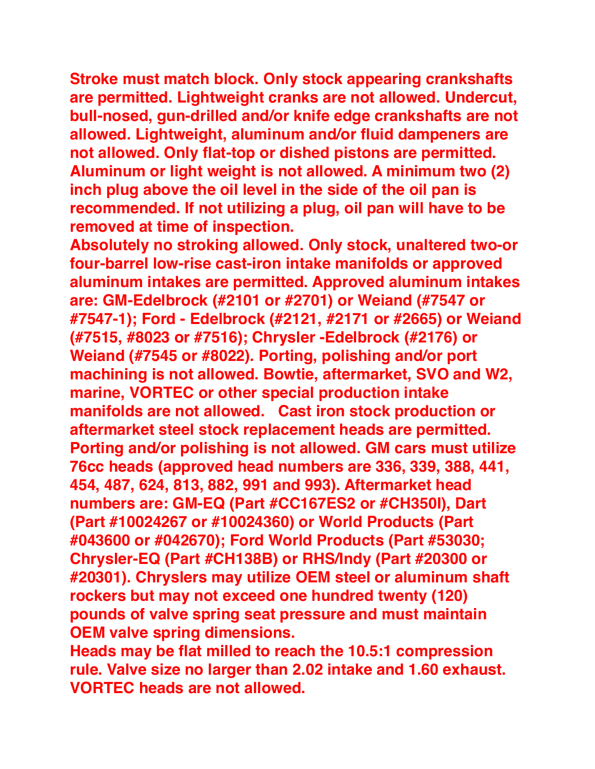**Stroke must match block. Only stock appearing crankshafts are permitted. Lightweight cranks are not allowed. Undercut, bull-nosed, gun-drilled and/or knife edge crankshafts are not allowed. Lightweight, aluminum and/or fluid dampeners are not allowed. Only flat-top or dished pistons are permitted. Aluminum or light weight is not allowed. A minimum two (2) inch plug above the oil level in the side of the oil pan is recommended. If not utilizing a plug, oil pan will have to be removed at time of inspection.**

**Absolutely no stroking allowed. Only stock, unaltered two-or four-barrel low-rise cast-iron intake manifolds or approved aluminum intakes are permitted. Approved aluminum intakes are: GM-Edelbrock (#2101 or #2701) or Weiand (#7547 or #7547-1); Ford - Edelbrock (#2121, #2171 or #2665) or Weiand (#7515, #8023 or #7516); Chrysler -Edelbrock (#2176) or Weiand (#7545 or #8022). Porting, polishing and/or port machining is not allowed. Bowtie, aftermarket, SVO and W2, marine, VORTEC or other special production intake manifolds are not allowed. Cast iron stock production or aftermarket steel stock replacement heads are permitted. Porting and/or polishing is not allowed. GM cars must utilize 76cc heads (approved head numbers are 336, 339, 388, 441, 454, 487, 624, 813, 882, 991 and 993). Aftermarket head numbers are: GM-EQ (Part #CC167ES2 or #CH350I), Dart (Part #10024267 or #10024360) or World Products (Part #043600 or #042670); Ford World Products (Part #53030; Chrysler-EQ (Part #CH138B) or RHS/Indy (Part #20300 or #20301). Chryslers may utilize OEM steel or aluminum shaft rockers but may not exceed one hundred twenty (120) pounds of valve spring seat pressure and must maintain OEM valve spring dimensions.** 

**Heads may be flat milled to reach the 10.5:1 compression rule. Valve size no larger than 2.02 intake and 1.60 exhaust. VORTEC heads are not allowed.**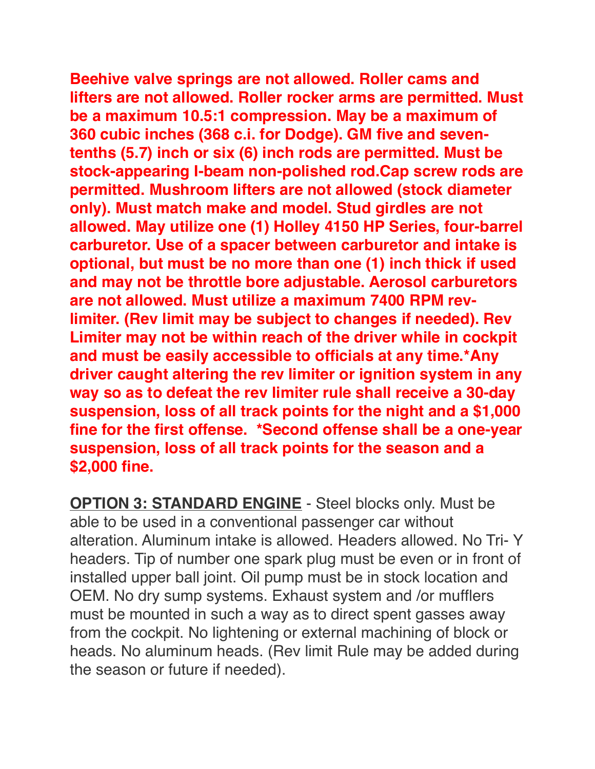**Beehive valve springs are not allowed. Roller cams and lifters are not allowed. Roller rocker arms are permitted. Must be a maximum 10.5:1 compression. May be a maximum of 360 cubic inches (368 c.i. for Dodge). GM five and seventenths (5.7) inch or six (6) inch rods are permitted. Must be stock-appearing I-beam non-polished rod.Cap screw rods are permitted. Mushroom lifters are not allowed (stock diameter only). Must match make and model. Stud girdles are not allowed. May utilize one (1) Holley 4150 HP Series, four-barrel carburetor. Use of a spacer between carburetor and intake is optional, but must be no more than one (1) inch thick if used and may not be throttle bore adjustable. Aerosol carburetors are not allowed. Must utilize a maximum 7400 RPM revlimiter. (Rev limit may be subject to changes if needed). Rev Limiter may not be within reach of the driver while in cockpit and must be easily accessible to officials at any time.\*Any driver caught altering the rev limiter or ignition system in any way so as to defeat the rev limiter rule shall receive a 30-day suspension, loss of all track points for the night and a \$1,000 fine for the first offense. \*Second offense shall be a one-year suspension, loss of all track points for the season and a \$2,000 fine.**

**OPTION 3: STANDARD ENGINE** - Steel blocks only. Must be able to be used in a conventional passenger car without alteration. Aluminum intake is allowed. Headers allowed. No Tri- Y headers. Tip of number one spark plug must be even or in front of installed upper ball joint. Oil pump must be in stock location and OEM. No dry sump systems. Exhaust system and /or mufflers must be mounted in such a way as to direct spent gasses away from the cockpit. No lightening or external machining of block or heads. No aluminum heads. (Rev limit Rule may be added during the season or future if needed).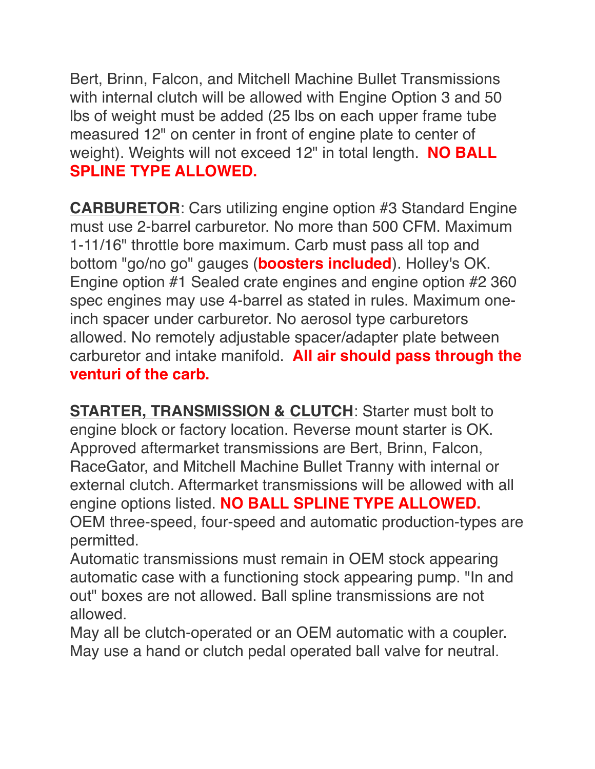Bert, Brinn, Falcon, and Mitchell Machine Bullet Transmissions with internal clutch will be allowed with Engine Option 3 and 50 lbs of weight must be added (25 lbs on each upper frame tube measured 12" on center in front of engine plate to center of weight). Weights will not exceed 12" in total length. **NO BALL SPLINE TYPE ALLOWED.**

**CARBURETOR**: Cars utilizing engine option #3 Standard Engine must use 2-barrel carburetor. No more than 500 CFM. Maximum 1-11/16" throttle bore maximum. Carb must pass all top and bottom "go/no go" gauges (**boosters included**). Holley's OK. Engine option #1 Sealed crate engines and engine option #2 360 spec engines may use 4-barrel as stated in rules. Maximum oneinch spacer under carburetor. No aerosol type carburetors allowed. No remotely adjustable spacer/adapter plate between carburetor and intake manifold. **All air should pass through the venturi of the carb.**

**STARTER, TRANSMISSION & CLUTCH**: Starter must bolt to engine block or factory location. Reverse mount starter is OK. Approved aftermarket transmissions are Bert, Brinn, Falcon, RaceGator, and Mitchell Machine Bullet Tranny with internal or external clutch. Aftermarket transmissions will be allowed with all engine options listed. **NO BALL SPLINE TYPE ALLOWED.** OEM three-speed, four-speed and automatic production-types are permitted.

Automatic transmissions must remain in OEM stock appearing automatic case with a functioning stock appearing pump. "In and out" boxes are not allowed. Ball spline transmissions are not allowed.

May all be clutch-operated or an OEM automatic with a coupler. May use a hand or clutch pedal operated ball valve for neutral.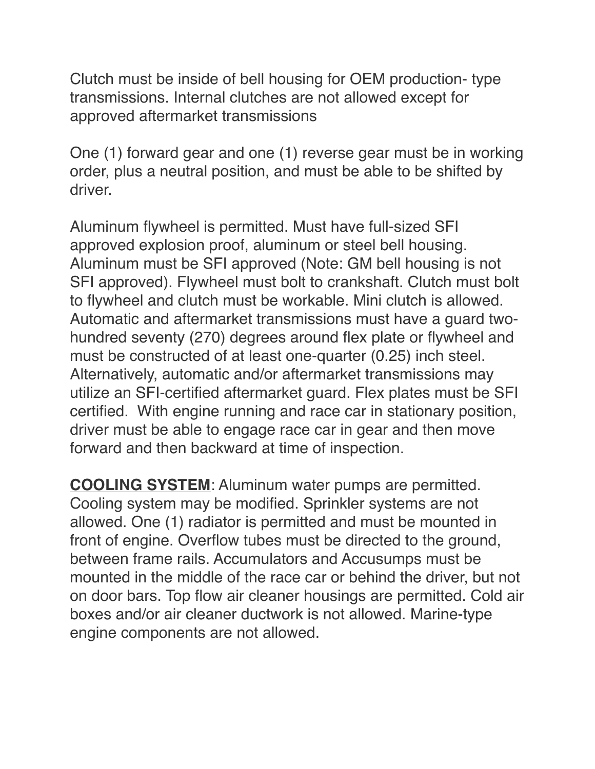Clutch must be inside of bell housing for OEM production- type transmissions. Internal clutches are not allowed except for approved aftermarket transmissions

One (1) forward gear and one (1) reverse gear must be in working order, plus a neutral position, and must be able to be shifted by driver.

Aluminum flywheel is permitted. Must have full-sized SFI approved explosion proof, aluminum or steel bell housing. Aluminum must be SFI approved (Note: GM bell housing is not SFI approved). Flywheel must bolt to crankshaft. Clutch must bolt to flywheel and clutch must be workable. Mini clutch is allowed. Automatic and aftermarket transmissions must have a guard twohundred seventy (270) degrees around flex plate or flywheel and must be constructed of at least one-quarter (0.25) inch steel. Alternatively, automatic and/or aftermarket transmissions may utilize an SFI-certified aftermarket guard. Flex plates must be SFI certified. With engine running and race car in stationary position, driver must be able to engage race car in gear and then move forward and then backward at time of inspection.

**COOLING SYSTEM**: Aluminum water pumps are permitted. Cooling system may be modified. Sprinkler systems are not allowed. One (1) radiator is permitted and must be mounted in front of engine. Overflow tubes must be directed to the ground, between frame rails. Accumulators and Accusumps must be mounted in the middle of the race car or behind the driver, but not on door bars. Top flow air cleaner housings are permitted. Cold air boxes and/or air cleaner ductwork is not allowed. Marine-type engine components are not allowed.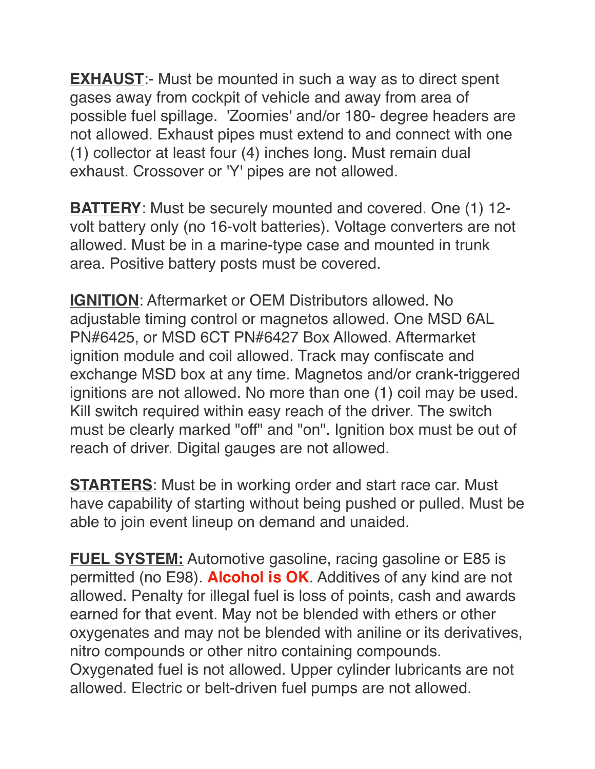**EXHAUST:**- Must be mounted in such a way as to direct spent gases away from cockpit of vehicle and away from area of possible fuel spillage. 'Zoomies' and/or 180- degree headers are not allowed. Exhaust pipes must extend to and connect with one (1) collector at least four (4) inches long. Must remain dual exhaust. Crossover or 'Y' pipes are not allowed.

**BATTERY**: Must be securely mounted and covered. One (1) 12 volt battery only (no 16-volt batteries). Voltage converters are not allowed. Must be in a marine-type case and mounted in trunk area. Positive battery posts must be covered.

**IGNITION**: Aftermarket or OEM Distributors allowed. No adjustable timing control or magnetos allowed. One MSD 6AL PN#6425, or MSD 6CT PN#6427 Box Allowed. Aftermarket ignition module and coil allowed. Track may confiscate and exchange MSD box at any time. Magnetos and/or crank-triggered ignitions are not allowed. No more than one (1) coil may be used. Kill switch required within easy reach of the driver. The switch must be clearly marked "off" and "on". Ignition box must be out of reach of driver. Digital gauges are not allowed.

**STARTERS:** Must be in working order and start race car. Must have capability of starting without being pushed or pulled. Must be able to join event lineup on demand and unaided.

**FUEL SYSTEM:** Automotive gasoline, racing gasoline or E85 is permitted (no E98). **Alcohol is OK**. Additives of any kind are not allowed. Penalty for illegal fuel is loss of points, cash and awards earned for that event. May not be blended with ethers or other oxygenates and may not be blended with aniline or its derivatives, nitro compounds or other nitro containing compounds. Oxygenated fuel is not allowed. Upper cylinder lubricants are not allowed. Electric or belt-driven fuel pumps are not allowed.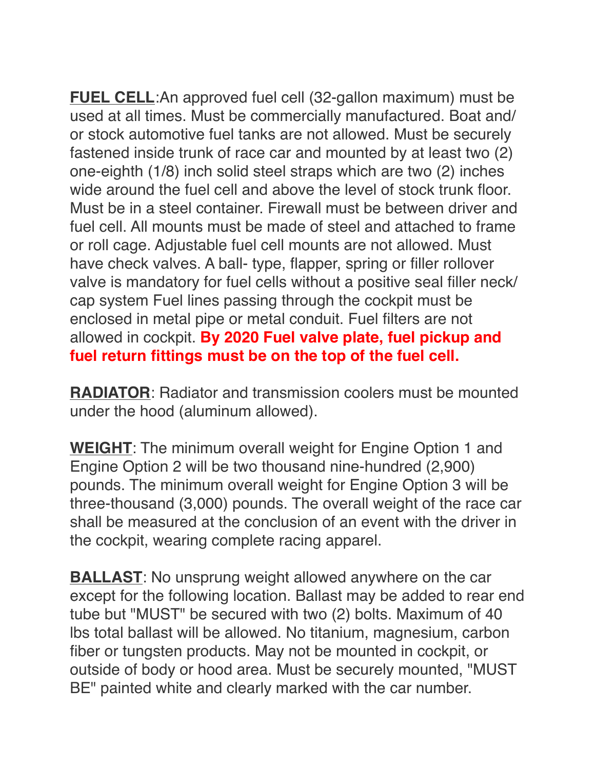**FUEL CELL:**An approved fuel cell (32-gallon maximum) must be used at all times. Must be commercially manufactured. Boat and/ or stock automotive fuel tanks are not allowed. Must be securely fastened inside trunk of race car and mounted by at least two (2) one-eighth (1/8) inch solid steel straps which are two (2) inches wide around the fuel cell and above the level of stock trunk floor. Must be in a steel container. Firewall must be between driver and fuel cell. All mounts must be made of steel and attached to frame or roll cage. Adjustable fuel cell mounts are not allowed. Must have check valves. A ball- type, flapper, spring or filler rollover valve is mandatory for fuel cells without a positive seal filler neck/ cap system Fuel lines passing through the cockpit must be enclosed in metal pipe or metal conduit. Fuel filters are not allowed in cockpit. **By 2020 Fuel valve plate, fuel pickup and fuel return fittings must be on the top of the fuel cell.**

**RADIATOR**: Radiator and transmission coolers must be mounted under the hood (aluminum allowed).

**WEIGHT**: The minimum overall weight for Engine Option 1 and Engine Option 2 will be two thousand nine-hundred (2,900) pounds. The minimum overall weight for Engine Option 3 will be three-thousand (3,000) pounds. The overall weight of the race car shall be measured at the conclusion of an event with the driver in the cockpit, wearing complete racing apparel.

**BALLAST**: No unsprung weight allowed anywhere on the car except for the following location. Ballast may be added to rear end tube but "MUST" be secured with two (2) bolts. Maximum of 40 lbs total ballast will be allowed. No titanium, magnesium, carbon fiber or tungsten products. May not be mounted in cockpit, or outside of body or hood area. Must be securely mounted, "MUST BE" painted white and clearly marked with the car number.